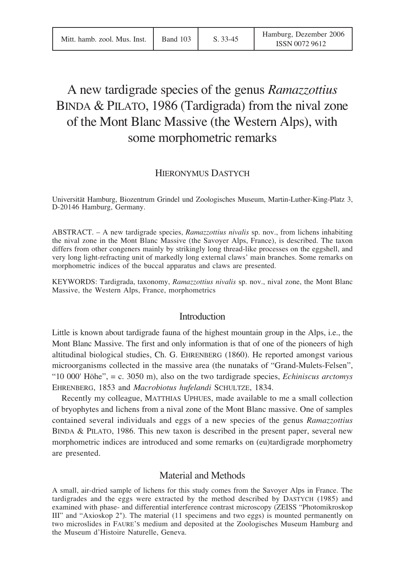# A new tardigrade species of the genus *Ramazzottius* BINDA & PILATO, 1986 (Tardigrada) from the nival zone of the Mont Blanc Massive (the Western Alps), with some morphometric remarks

## HIERONYMUS DASTYCH

Universität Hamburg, Biozentrum Grindel und Zoologisches Museum, Martin-Luther-King-Platz 3, D-20146 Hamburg, Germany.

ABSTRACT. – A new tardigrade species, *Ramazzottius nivalis* sp. nov., from lichens inhabiting the nival zone in the Mont Blanc Massive (the Savoyer Alps, France), is described. The taxon differs from other congeners mainly by strikingly long thread-like processes on the eggshell, and very long light-refracting unit of markedly long external claws' main branches. Some remarks on morphometric indices of the buccal apparatus and claws are presented.

KEYWORDS: Tardigrada, taxonomy, *Ramazzottius nivalis* sp. nov., nival zone, the Mont Blanc Massive, the Western Alps, France, morphometrics

### **Introduction**

Little is known about tardigrade fauna of the highest mountain group in the Alps, i.e., the Mont Blanc Massive. The first and only information is that of one of the pioneers of high altitudinal biological studies, Ch. G. EHRENBERG (1860). He reported amongst various microorganisms collected in the massive area (the nunataks of "Grand-Mulets-Felsen", "10 000' Höhe", = c. 3050 m), also on the two tardigrade species, *Echiniscus arctomys* EHRENBERG, 1853 and *Macrobiotus hufelandi* SCHULTZE, 1834.

Recently my colleague, MATTHIAS UPHUES, made available to me a small collection of bryophytes and lichens from a nival zone of the Mont Blanc massive. One of samples contained several individuals and eggs of a new species of the genus *Ramazzottius* BINDA & PILATO, 1986. This new taxon is described in the present paper, several new morphometric indices are introduced and some remarks on (eu)tardigrade morphometry are presented.

#### Material and Methods

A small, air-dried sample of lichens for this study comes from the Savoyer Alps in France. The tardigrades and the eggs were extracted by the method described by DASTYCH (1985) and examined with phase- and differential interference contrast microscopy (ZEISS "Photomikroskop III" and "Axioskop 2"). The material (11 specimens and two eggs) is mounted permanently on two microslides in FAURE'S medium and deposited at the Zoologisches Museum Hamburg and the Museum d'Histoire Naturelle, Geneva.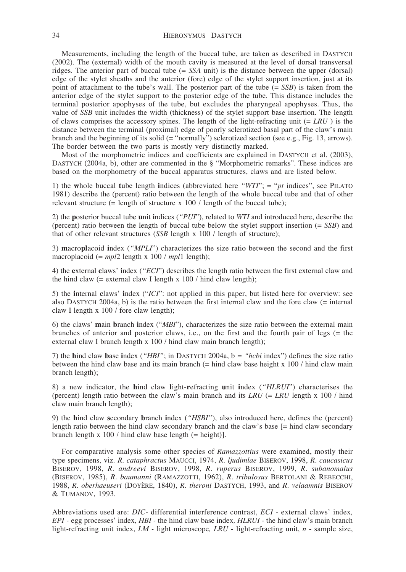Measurements, including the length of the buccal tube, are taken as described in DASTYCH (2002). The (external) width of the mouth cavity is measured at the level of dorsal transversal ridges. The anterior part of buccal tube (= *SSA* unit) is the distance between the upper (dorsal) edge of the stylet sheaths and the anterior (fore) edge of the stylet support insertion, just at its point of attachment to the tube's wall. The posterior part of the tube (= *SSB*) is taken from the anterior edge of the stylet support to the posterior edge of the tube. This distance includes the terminal posterior apophyses of the tube, but excludes the pharyngeal apophyses. Thus, the value of *SSB* unit includes the width (thickness) of the stylet support base insertion. The length of claws comprises the accessory spines. The length of the light-refracting unit (= *LRU* ) is the distance between the terminal (proximal) edge of poorly sclerotized basal part of the claw's main branch and the beginning of its solid (= "normally") sclerotized section (see e.g., Fig. 13, arrows). The border between the two parts is mostly very distinctly marked.

Most of the morphometric indices and coefficients are explained in DASTYCH et al. (2003), DASTYCH (2004a, b), other are commented in the § "Morphometric remarks". These indices are based on the morphometry of the buccal apparatus structures, claws and are listed below.

1) the **w**hole buccal **t**ube length **i**ndices (abbreviated here *"WTI*"; = "*pt* indices", see PILATO 1981) describe the (percent) ratio between the length of the whole buccal tube and that of other relevant structure  $(=$  length of structure x 100 / length of the buccal tube);

2) the **p**osterior buccal tube **u**nit **i**ndices (*"PUI*"), related to *WTI* and introduced here, describe the (percent) ratio between the length of buccal tube below the stylet support insertion (= *SSB*) and that of other relevant structures (*SSB* length x 100 / length of structure);

3) **m**acro**pl**acoid **i**ndex (*"MPLI*") characterizes the size ratio between the second and the first macroplacoid (= *mpl*2 length x 100 / *mpl*1 length);

4) the **e**xternal **c**laws' **i**ndex (*"ECI*") describes the length ratio between the first external claw and the hind claw (= external claw I length  $x$  100 / hind claw length);

5) the **i**nternal **c**laws' **i**ndex ("*ICI*": not applied in this paper, but listed here for overview: see also DASTYCH 2004a, b) is the ratio between the first internal claw and the fore claw (= internal claw I length x 100 / fore claw length);

6) the claws' **m**ain **b**ranch **i**ndex ("*MBI*"), characterizes the size ratio between the external main branches of anterior and posterior claws, i.e., on the first and the fourth pair of legs (= the external claw I branch length x 100 / hind claw main branch length);

7) the **h**ind claw **b**ase **i**ndex (*"HBI"*; in DASTYCH 2004a, b *= "hcbi* index") defines the size ratio between the hind claw base and its main branch  $(=$  hind claw base height x 100  $/$  hind claw main branch length);

8) a new indicator, the **h**ind claw **l**ight-**r**efracting **u**nit **i**ndex (*"HLRUI*") characterises the (percent) length ratio between the claw's main branch and its *LRU* (= *LRU* length x 100 / hind claw main branch length);

9) the **h**ind claw **s**econdary **b**ranch **i**ndex (*"HSBI"*), also introduced here, defines the (percent) length ratio between the hind claw secondary branch and the claw's base [= hind claw secondary branch length x  $100 / \text{hind}$  claw base length (= height)].

For comparative analysis some other species of *Ramazzottius* were examined, mostly their type specimens, viz. *R. cataphractus* MAUCCI, 1974, *R. ljudimlae* BISEROV, 1998, *R*. *caucasicus* BISEROV, 1998, *R. andreevi* BISEROV, 1998, *R. ruperus* BISEROV, 1999, *R. subanomalus* (BISEROV, 1985), *R. baumanni* (RAMAZZOTTI, 1962), *R. tribulosus* BERTOLANI & REBECCHI, 1988, *R. oberhaeuseri* (DOYÈRE, 1840), *R. theroni* DASTYCH, 1993, and *R. velaamnis* BISEROV & TUMANOV, 1993.

Abbreviations used are: *DIC*- differential interference contrast, *ECI -* external claws' index*, EPI -* egg processes' index*, HBI -* the hind claw base index*, HLRUI* - the hind claw's main branch light-refracting unit index, *LM -* light microscope*, LRU* - light-refracting unit, *n* - sample size,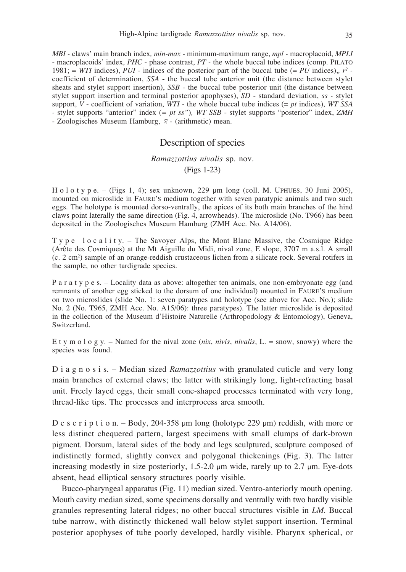*MBI -* claws' main branch index*, min-max* - minimum-maximum range, *mpl -* macroplacoid, *MPLI* - macroplacoids' index, *PHC* - phase contrast, *PT -* the whole buccal tube indices (comp. PILATO 1981;  $= WTI$  indices), PUI - indices of the posterior part of the buccal tube ( $= PU$  indices),  $r^2$  coefficient of determination, *SSA* - the buccal tube anterior unit (the distance between stylet sheats and stylet support insertion), *SSB* - the buccal tube posterior unit (the distance between stylet support insertion and terminal posterior apophyses), *SD* - standard deviation, *ss -* stylet support, *V* - coefficient of variation, *WTI* - the whole buccal tube indices (= *pt* indices), *WT SSA -* stylet supports "anterior" index (*= pt ss"*)*, WT SSB* - stylet supports "posterior" index, *ZMH* - Zoologisches Museum Hamburg,  $\bar{x}$  - (arithmetic) mean.

## Description of species

#### *Ramazzottius nivalis* sp. nov. (Figs 1-23)

H o l o t y p e. – (Figs 1, 4); sex unknown, 229  $\mu$ m long (coll. M. UPHUES, 30 Juni 2005), mounted on microslide in FAURE'S medium together with seven paratypic animals and two such eggs. The holotype is mounted dorso-ventrally, the apices of its both main branches of the hind claws point laterally the same direction (Fig. 4, arrowheads). The microslide (No. T966) has been deposited in the Zoologisches Museum Hamburg (ZMH Acc. No. A14/06).

T y p e l o c a l i t y. – The Savoyer Alps, the Mont Blanc Massive, the Cosmique Ridge (Arête des Cosmiques) at the Mt Aiguille du Midi, nival zone, E slope, 3707 m a.s.l. A small (c. 2 cm<sup>2</sup>) sample of an orange-reddish crustaceous lichen from a silicate rock. Several rotifers in the sample, no other tardigrade species.

P a r a t y p e s. – Locality data as above: altogether ten animals, one non-embryonate egg (and remnants of another egg sticked to the dorsum of one individual) mounted in FAURE'S medium on two microslides (slide No. 1: seven paratypes and holotype (see above for Acc. No.); slide No. 2 (No. T965, ZMH Acc. No. A15/06): three paratypes). The latter microslide is deposited in the collection of the Museum d'Histoire Naturelle (Arthropodology & Entomology), Geneva, Switzerland.

E t y m o l o g y. – Named for the nival zone (*nix*, *nivis*, *nivalis*, L. = snow, snowy) where the species was found.

D i a g n o s i s. – Median sized *Ramazzottius* with granulated cuticle and very long main branches of external claws; the latter with strikingly long, light-refracting basal unit. Freely layed eggs, their small cone-shaped processes terminated with very long, thread-like tips. The processes and interprocess area smooth.

D e s c r i p t i o n. – Body, 204-358  $\mu$ m long (holotype 229  $\mu$ m) reddish, with more or less distinct chequered pattern, largest specimens with small clumps of dark-brown pigment. Dorsum, lateral sides of the body and legs sculptured, sculpture composed of indistinctly formed, slightly convex and polygonal thickenings (Fig. 3). The latter increasing modestly in size posteriorly,  $1.5{\text -}2.0 \mu$ m wide, rarely up to  $2.7 \mu$ m. Eye-dots absent, head elliptical sensory structures poorly visible.

Bucco-pharyngeal apparatus (Fig. 11) median sized. Ventro-anteriorly mouth opening. Mouth cavity median sized, some specimens dorsally and ventrally with two hardly visible granules representing lateral ridges; no other buccal structures visible in *LM*. Buccal tube narrow, with distinctly thickened wall below stylet support insertion. Terminal posterior apophyses of tube poorly developed, hardly visible. Pharynx spherical, or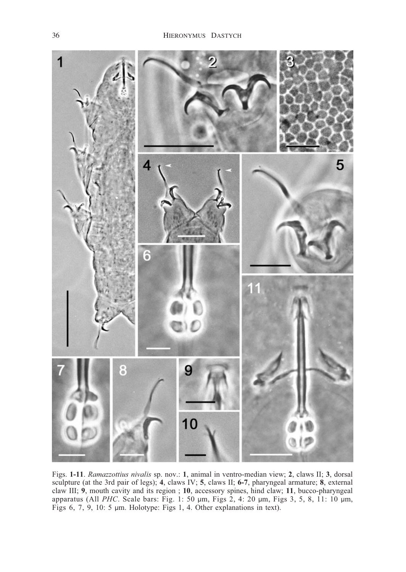

Figs. **1-11**. *Ramazzottius nivalis* sp. nov.: **1**, animal in ventro-median view; **2**, claws II; **3**, dorsal sculpture (at the 3rd pair of legs); **4**, claws IV; **5**, claws II; **6-7**, pharyngeal armature; **8**, external claw III; **9**, mouth cavity and its region ; **10**, accessory spines, hind claw; **11**, bucco-pharyngeal apparatus (All *PHC*. Scale bars: Fig. 1: 50 µm, Figs 2, 4: 20 µm, Figs 3, 5, 8, 11: 10 µm, Figs 6, 7, 9, 10: 5 µm. Holotype: Figs 1, 4. Other explanations in text).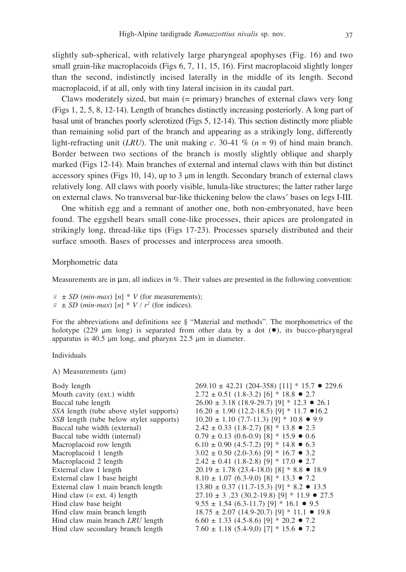slightly sub-spherical, with relatively large pharyngeal apophyses (Fig. 16) and two small grain-like macroplacoids (Figs 6, 7, 11, 15, 16). First macroplacoid slightly longer than the second, indistinctly incised laterally in the middle of its length. Second macroplacoid, if at all, only with tiny lateral incision in its caudal part.

Claws moderately sized, but main (= primary) branches of external claws very long (Figs 1, 2, 5, 8, 12-14). Length of branches distinctly increasing posteriorly. A long part of basal unit of branches poorly sclerotized (Figs 5, 12-14). This section distinctly more pliable than remaining solid part of the branch and appearing as a strikingly long, differently light-refracting unit (*LRU*). The unit making *c*. 30-41 % ( $n = 9$ ) of hind main branch. Border between two sections of the branch is mostly slightly oblique and sharply marked (Figs 12-14). Main branches of external and internal claws with thin but distinct accessory spines (Figs 10, 14), up to  $3 \mu m$  in length. Secondary branch of external claws relatively long. All claws with poorly visible, lunula-like structures; the latter rather large on external claws. No transversal bar-like thickening below the claws' bases on legs I-III.

One whitish egg and a remnant of another one, both non-embryonated, have been found. The eggshell bears small cone-like processes, their apices are prolongated in strikingly long, thread-like tips (Figs 17-23). Processes sparsely distributed and their surface smooth. Bases of processes and interprocess area smooth.

#### Morphometric data

Measurements are in  $\mu$ m, all indices in %. Their values are presented in the following convention:

 $\bar{x} \pm SD$  (*min-max*) [*n*] \* *V* (for measurements);  $\bar{x}$   $\pm$  *SD* (*min-max*) [*n*]  $*$  *V* /  $r^2$  (for indices).

For the abbreviations and definitions see § "Material and methods". The morphometrics of the holotype (229  $\mu$ m long) is separated from other data by a dot  $(\bullet)$ , its bucco-pharyngeal apparatus is  $40.5 \mu m$  long, and pharynx  $22.5 \mu m$  in diameter.

Individuals

A) Measurements  $(\mu m)$ 

| $269.10 \pm 42.21$ (204-358) [11] * 15.7 • 229.6       |
|--------------------------------------------------------|
| $2.72 \pm 0.51$ (1.8-3.2) [6] * 18.8 • 2.7             |
| $26.00 \pm 3.18$ (18.9-29.7) [9] * 12.3 • 26.1         |
| $16.20 \pm 1.90$ (12.2-18.5) [9] * 11.7 $\bullet$ 16.2 |
| $10.20 \pm 1.10$ (7.7-11.3) [9] * 10.8 $\bullet$ 9.9   |
| $2.42 \pm 0.33$ (1.8-2.7) [8] * 13.8 • 2.3             |
| $0.79 \pm 0.13$ (0.6-0.9) [8] * 15.9 $\bullet$ 0.6     |
| $6.10 \pm 0.90$ (4.5-7.2) [9] * 14.8 $\bullet$ 6.3     |
| $3.02 \pm 0.50$ (2.0-3.6) [9] * 16.7 • 3.2             |
| $2.42 \pm 0.41$ (1.8-2.8) [9] * 17.0 • 2.7             |
| $20.19 \pm 1.78$ (23.4-18.0) [8] * 8.8 • 18.9          |
| $8.10 \pm 1.07$ (6.3-9.0) [8] * 13.3 $\bullet$ 7.2     |
| $13.80 \pm 0.37$ (11.7-15.3) [9] * 8.2 • 13.5          |
| $27.10 \pm 3$ .23 (30.2-19.8) [9] * 11.9 ● 27.5        |
| $9.55 \pm 1.54$ (6.3-11.7) [9] * 16.1 • 9.5            |
| $18.75 \pm 2.07$ (14.9-20.7) [9] * 11.1 • 19.8         |
| $6.60 \pm 1.33$ (4.5-8.6) [9] * 20.2 • 7.2             |
| $7.60 \pm 1.18$ (5.4-9,0) [7] * 15.6 • 7.2             |
|                                                        |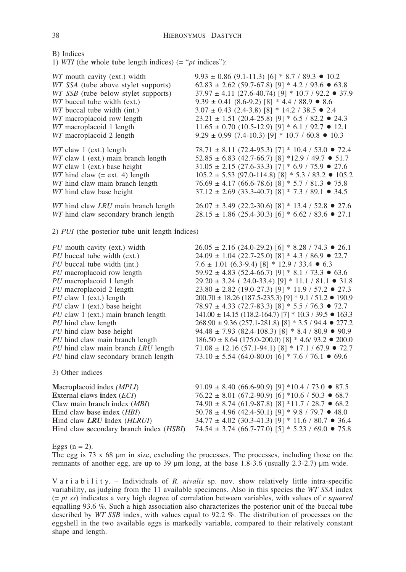B) Indices

1) *WTI* (the **w**hole **t**ube length **i**ndices) (= "*pt* indices"):

| WT mouth cavity (ext.) width                     | $9.93 \pm 0.86$ (9.1-11.3) [6] * 8.7 / 89.3 • 10.2           |
|--------------------------------------------------|--------------------------------------------------------------|
| WT SSA (tube above stylet supports)              | $62.83 \pm 2.62$ (59.7-67.8) [9] * 4.2 / 93.6 • 63.8         |
| WT SSB (tube below stylet supports)              | $37.97 \pm 4.11$ (27.6-40.74) [9] * 10.7 / 92.2 • 37.9       |
| WT buccal tube width (ext.)                      | $9.39 \pm 0.41$ (8.6-9.2) [8] * 4.4 / 88.9 • 8.6             |
| WT buccal tube width (int.)                      | $3.07 \pm 0.43$ (2.4-3.8) [8] * 14.2 / 38.5 • 2.4            |
| WT macroplacoid row length                       | $23.21 \pm 1.51$ (20.4-25.8) [9] * 6.5 / 82.2 • 24.3         |
| WT macroplacoid 1 length                         | $11.65 \pm 0.70$ (10.5-12.9) [9] * 6.1 / 92.7 • 12.1         |
| WT macroplacoid 2 length                         | 9.29 ± 0.99 (7.4-10.3) [9] * 10.7 / 60.8 $\bullet$ 10.3      |
| WT claw 1 (ext.) length                          | $78.71 \pm 8.11$ (72.4-95.3) [7] * 10.4 / 53.0 • 72.4        |
| WT claw 1 (ext.) main branch length              | $52.85 \pm 6.83$ (42.7-66.7) [8] *12.9 / 49.7 • 51.7         |
| WT claw 1 (ext.) base height                     | $31.05 \pm 2.15$ (27.6-33.3) [7] * 6.9 / 75.9 $\bullet$ 27.6 |
| $WT$ hind claw (= ext. 4) length                 | $105.2 \pm 5.53$ (97.0-114.8) [8] * 5.3 / 83.2 • 105.2       |
| WT hind claw main branch length                  | $76.69 \pm 4.17$ (66.6-78.6) [8] * 5.7 / 81.3 • 75.8         |
| WT hind claw base height                         | $37.12 \pm 2.69$ (33.3-40.7) [8] * 7.3 / 89.1 • 34.5         |
| WT hind claw LRU main branch length              | $26.07 \pm 3.49$ (22.2-30.6) [8] * 13.4 / 52.8 • 27.6        |
| WT hind claw secondary branch length             | $28.15 \pm 1.86$ (25.4-30.3) [6] * 6.62 / 83.6 • 27.1        |
| 2) PUI (the posterior tube unit length indices)  |                                                              |
| PU mouth cavity (ext.) width                     | $26.05 \pm 2.16$ (24.0-29.2) [6] * 8.28 / 74.3 • 26.1        |
| PU buccal tube width (ext.)                      | $24.09 \pm 1.04$ (22.7-25.0) [8] * 4.3 / 86.9 • 22.7         |
| PU buccal tube width (int.)                      | 7.6 ± 1.01 (6.3-9.4) [8] * 12.9 / 33.4 $\bullet$ 6.3         |
| PU macroplacoid row length                       | $59.92 \pm 4.83$ (52.4-66.7) [9] * 8.1 / 73.3 $\bullet$ 63.6 |
| PU macroplacoid 1 length                         | $29.20 \pm 3.24$ (24.0-33.4) [9] * 11.1 / 81.1 • 31.8        |
| PU macroplacoid 2 length                         | $23.80 \pm 2.82$ (19.0-27.3) [9] * 11.9 / 57.2 • 27.3        |
| $PU$ claw 1 (ext.) length                        | $200.70 \pm 18.26$ (187.5-235.3) [9] * 9.1 / 51.2 • 190.9    |
| PU claw 1 (ext.) base height                     | $78.97 \pm 4.33$ (72.7-83.3) [8] * 5.5 / 76.3 • 72.7         |
| PU claw 1 (ext.) main branch length              | $141.00 \pm 14.15$ (118.2-164.7) [7] * 10.3 / 39.5 • 163.3   |
| PU hind claw length                              | $268.90 \pm 9.36$ (257.1-281.8) [8] * 3.5 / 94.4 • 277.2     |
| PU hind claw base height                         | 94.48 ± 7.93 (82.4-108.3) [8] * 8.4 / 80.9 $\bullet$ 90.9    |
| PU hind claw main branch length                  | $186.50 \pm 8.64$ (175.0-200.0) [8] * 4.6/ 93.2 • 200.0      |
| PU hind claw main branch LRU length              | $71.08 \pm 12.16$ (57.1-94.1) [8] * 17.1 / 67.9 • 72.7       |
| PU hind claw secondary branch length             | 73.10 ± 5.54 (64.0-80.0) [6] * 7.6 / 76.1 $\bullet$ 69.6     |
| 3) Other indices                                 |                                                              |
| Macroplacoid index (MPLI)                        | 91.09 ± 8.40 (66.6-90.9) [9] *10.4 / 73.0 $\bullet$ 87.5     |
| External claws index (ECI)                       | $76.22 \pm 8.01$ (67.2-90.9) [6] *10.6 / 50.3 • 68.7         |
| Claw main branch index (MBI)                     | $74.90 \pm 8.74$ (61.9-87.8) [8] *11.7 / 28.7 • 68.2         |
| Hind claw base index (HBI)                       | $50.78 \pm 4.96$ (42.4-50.1) [9] * 9.8 / 79.7 • 48.0         |
| Hind claw LRU index (HLRUI)                      | $34.77 \pm 4.02$ (30.3-41.3) [9] * 11.6 / 80.7 • 36.4        |
| Hind claw secondary branch index ( <i>HSBI</i> ) | 74.54 ± 3.74 (66.7-77.0) [5] * 5.23 / 69.0 • 75.8            |

Eggs ( $n = 2$ ).

The egg is  $73 \times 68$  µm in size, excluding the processes. The processes, including those on the remnants of another egg, are up to 39  $\mu$ m long, at the base 1.8-3.6 (usually 2.3-2.7)  $\mu$ m wide.

V a r i a b i l i t y. – Individuals of *R. nivalis* sp. nov. show relatively little intra-specific variability, as judging from the 11 available specimens. Also in this species the *WT SSA* index (= *pt ss*) indicates a very high degree of correlation between variables, with values of *r squared* equalling 93.6 %. Such a high association also characterizes the posterior unit of the buccal tube described by *WT SSB* index, with values equal to 92.2 %. The distribution of processes on the eggshell in the two available eggs is markedly variable, compared to their relatively constant shape and length.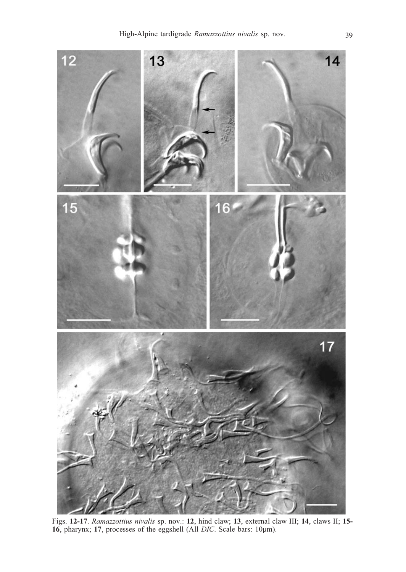

Figs. **12-17**. *Ramazzottius nivalis* sp. nov.: **12**, hind claw; **13**, external claw III; **14**, claws II; **15-** 16, pharynx; 17, processes of the eggshell (All *DIC*. Scale bars: 10µm).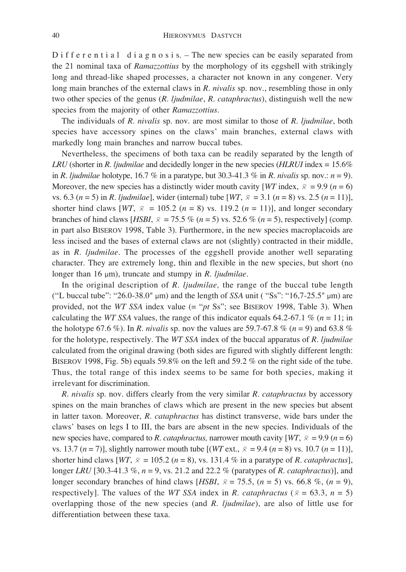D if f e r e n t i a l d i a g n o s i s. – The new species can be easily separated from the 21 nominal taxa of *Ramazzottius* by the morphology of its eggshell with strikingly long and thread-like shaped processes, a character not known in any congener. Very long main branches of the external claws in *R. nivalis* sp. nov., resembling those in only two other species of the genus (*R. ljudmilae*, *R. cataphractus*), distinguish well the new species from the majority of other *Ramazzottius*.

The individuals of *R. nivalis* sp. nov. are most similar to those of *R. ljudmilae*, both species have accessory spines on the claws' main branches, external claws with markedly long main branches and narrow buccal tubes.

Nevertheless, the specimens of both taxa can be readily separated by the length of *LRU* (shorter in *R. ljudmilae* and decidedly longer in the new species (*HLRUI* index = 15.6% in *R. ljudmilae* holotype, 16.7 % in a paratype, but 30.3-41.3 % in *R. nivalis* sp. nov.: *n* = 9). Moreover, the new species has a distinctly wider mouth cavity [*WT* index,  $\bar{x} = 9.9$  ( $n = 6$ ) vs. 6.3 ( $n = 5$ ) in *R. ljudmilae*], wider (internal) tube [WT,  $\bar{x} = 3.1$  ( $n = 8$ ) vs. 2.5 ( $n = 11$ )], shorter hind claws  $[WT, \overline{x} = 105.2 \ (n = 8) \text{ vs. } 119.2 \ (n = 11)],$  and longer secondary branches of hind claws [*HSBI*,  $\bar{x} = 75.5\%$  ( $n = 5$ ) vs. 52.6 % ( $n = 5$ ), respectively] (comp. in part also BISEROV 1998, Table 3). Furthermore, in the new species macroplacoids are less incised and the bases of external claws are not (slightly) contracted in their middle, as in *R. ljudmilae*. The processes of the eggshell provide another well separating character. They are extremely long, thin and flexible in the new species, but short (no longer than 16  $\mu$ m), truncate and stumpy in *R. ljudmilae*.

In the original description of *R. ljudmilae,* the range of the buccal tube length ("L buccal tube": "26.0-38.0"  $\mu$ m) and the length of *SSA* unit ("Ss": "16,7-25.5"  $\mu$ m) are provided, not the *WT SSA* index value (= "*pt* Ss"; see BISEROV 1998, Table 3). When calculating the *WT SSA* values, the range of this indicator equals 64.2-67.1 % ( $n = 11$ ; in the holotype 67.6 %). In *R. nivalis* sp. nov the values are 59.7-67.8 % (*n* = 9) and 63.8 % for the holotype, respectively. The *WT SSA* index of the buccal apparatus of *R. ljudmilae* calculated from the original drawing (both sides are figured with slightly different length: BISEROV 1998, Fig. 5b) equals 59.8% on the left and 59.2 % on the right side of the tube. Thus, the total range of this index seems to be same for both species, making it irrelevant for discrimination.

*R. nivalis* sp. nov. differs clearly from the very similar *R. cataphractus* by accessory spines on the main branches of claws which are present in the new species but absent in latter taxon*.* Moreover, *R. cataphractus* has distinct transverse, wide bars under the claws' bases on legs I to III, the bars are absent in the new species. Individuals of the new species have, compared to *R. cataphractus*, narrower mouth cavity  $[WT, \overline{x} = 9.9 (n = 6)]$ vs. 13.7 (*n* = 7)], slightly narrower mouth tube  $[(WT ext., \bar{x} = 9.4 (n = 8) \text{ vs. } 10.7 (n = 11)],$ shorter hind claws  $[WT, \overline{x} = 105.2 \ (n = 8)$ , vs. 131.4 % in a paratype of *R. cataphractus*], longer *LRU* [30.3-41.3 %, *n* = 9, vs. 21.2 and 22.2 % (paratypes of *R. cataphractus*)], and longer secondary branches of hind claws [*HSBI*,  $\bar{x} = 75.5$ ,  $(n = 5)$  vs. 66.8 %,  $(n = 9)$ , respectively]. The values of the *WT SSA* index in *R. cataphractus* ( $\bar{x}$  = 63.3, *n* = 5) overlapping those of the new species (and *R. ljudmilae*), are also of little use for differentiation between these taxa.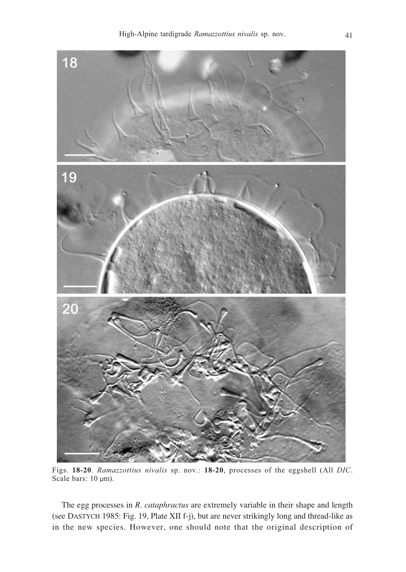

Figs. **18-20**. *Ramazzottius nivalis* sp. nov.: **18-20**, processes of the eggshell (All *DIC*. Scale bars: 10 µm).

The egg processes in *R. cataphractus* are extremely variable in their shape and length (see DASTYCH 1985: Fig. 19, Plate XII f-j), but are never strikingly long and thread-like as in the new species. However, one should note that the original description of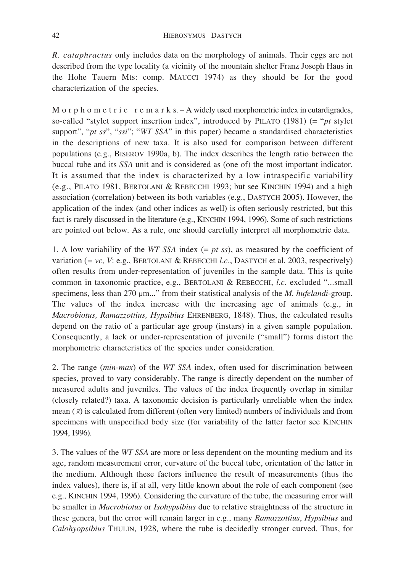*R. cataphractus* only includes data on the morphology of animals. Their eggs are not described from the type locality (a vicinity of the mountain shelter Franz Joseph Haus in the Hohe Tauern Mts: comp. MAUCCI 1974) as they should be for the good characterization of the species.

M o r p h o m e t r i c r e m a r k s. – A widely used morphometric index in eutardigrades, so-called "stylet support insertion index", introduced by PILATO (1981) (= "*pt* stylet support", "*pt ss*", "*ssi*"; "*WT SSA*" in this paper) became a standardised characteristics in the descriptions of new taxa. It is also used for comparison between different populations (e.g., BISEROV 1990a, b). The index describes the length ratio between the buccal tube and its *SSA* unit and is considered as (one of) the most important indicator. It is assumed that the index is characterized by a low intraspecific variability (e.g., PILATO 1981, BERTOLANI & REBECCHI 1993; but see KINCHIN 1994) and a high association (correlation) between its both variables (e.g., DASTYCH 2005). However, the application of the index (and other indices as well) is often seriously restricted, but this fact is rarely discussed in the literature (e.g., KINCHIN 1994, 1996). Some of such restrictions are pointed out below. As a rule, one should carefully interpret all morphometric data.

1. A low variability of the *WT SSA* index (= *pt ss*), as measured by the coefficient of variation (*= vc, V*: e.g., BERTOLANI & REBECCHI *l.c.*, DASTYCH et al. 2003, respectively) often results from under-representation of juveniles in the sample data. This is quite common in taxonomic practice, e.g., BERTOLANI & REBECCHI, *l.c.* excluded "...small specimens, less than 270  $\mu$ m..." from their statistical analysis of the *M. hufelandi*-group. The values of the index increase with the increasing age of animals (e.g., in *Macrobiotus, Ramazzottius, Hypsibius* EHRENBERG, 1848). Thus, the calculated results depend on the ratio of a particular age group (instars) in a given sample population. Consequently, a lack or under-representation of juvenile ("small") forms distort the morphometric characteristics of the species under consideration.

2. The range (*min-max*) of the *WT SSA* index, often used for discrimination between species, proved to vary considerably. The range is directly dependent on the number of measured adults and juveniles. The values of the index frequently overlap in similar (closely related?) taxa. A taxonomic decision is particularly unreliable when the index mean  $(\bar{x})$  is calculated from different (often very limited) numbers of individuals and from specimens with unspecified body size (for variability of the latter factor see KINCHIN 1994, 1996).

3. The values of the *WT SSA* are more or less dependent on the mounting medium and its age, random measurement error, curvature of the buccal tube, orientation of the latter in the medium. Although these factors influence the result of measurements (thus the index values), there is, if at all, very little known about the role of each component (see e.g., KINCHIN 1994, 1996). Considering the curvature of the tube, the measuring error will be smaller in *Macrobiotus* or *Isohypsibius* due to relative straightness of the structure in these genera, but the error will remain larger in e.g., many *Ramazzottius*, *Hypsibius* and *Calohyopsibius* THULIN, 1928*,* where the tube is decidedly stronger curved. Thus, for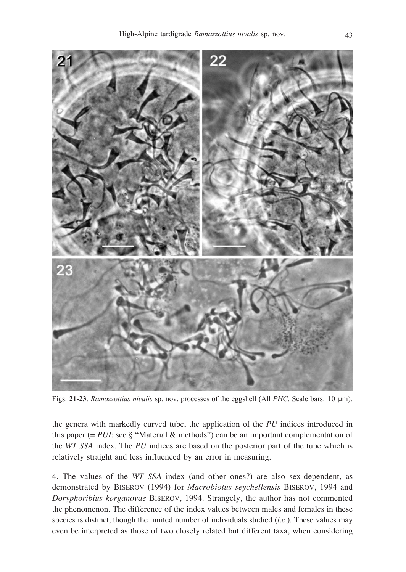

Figs. **21-23**. *Ramazzottius nivalis* sp. nov, processes of the eggshell (All *PHC*. Scale bars: 10 m).

the genera with markedly curved tube, the application of the *PU* indices introduced in this paper ( $=$  *PUI*: see § "Material & methods") can be an important complementation of the *WT SSA* index. The *PU* indices are based on the posterior part of the tube which is relatively straight and less influenced by an error in measuring.

4. The values of the *WT SSA* index (and other ones?) are also sex-dependent, as demonstrated by BISEROV (1994) for *Macrobiotus seychellensis* BISEROV, 1994 and *Doryphoribius korganovae* BISEROV, 1994. Strangely, the author has not commented the phenomenon. The difference of the index values between males and females in these species is distinct, though the limited number of individuals studied (*l.c*.). These values may even be interpreted as those of two closely related but different taxa, when considering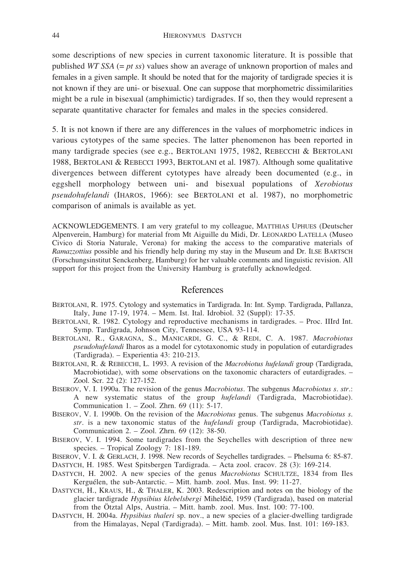some descriptions of new species in current taxonomic literature. It is possible that published *WT SSA* (= *pt ss*) values show an average of unknown proportion of males and females in a given sample. It should be noted that for the majority of tardigrade species it is not known if they are uni- or bisexual. One can suppose that morphometric dissimilarities might be a rule in bisexual (amphimictic) tardigrades. If so, then they would represent a separate quantitative character for females and males in the species considered.

5. It is not known if there are any differences in the values of morphometric indices in various cytotypes of the same species. The latter phenomenon has been reported in many tardigrade species (see e.g., BERTOLANI 1975, 1982, REBECCHI & BERTOLANI 1988, BERTOLANI & REBECCI 1993, BERTOLANI et al. 1987). Although some qualitative divergences between different cytotypes have already been documented (e.g., in eggshell morphology between uni- and bisexual populations of *Xerobiotus pseudohufelandi* (IHAROS, 1966): see BERTOLANI et al. 1987), no morphometric comparison of animals is available as yet.

ACKNOWLEDGEMENTS. I am very grateful to my colleague, MATTHIAS UPHUES (Deutscher Alpenverein, Hamburg) for material from Mt Aiguille du Midi, Dr. LEONARDO LATELLA (Museo Civico di Storia Naturale, Verona) for making the access to the comparative materials of *Ramazzottius* possible and his friendly help during my stay in the Museum and Dr. ILSE BARTSCH (Forschungsinstitut Senckenberg, Hamburg) for her valuable comments and linguistic revision. All support for this project from the University Hamburg is gratefully acknowledged.

#### References

- BERTOLANI, R. 1975. Cytology and systematics in Tardigrada. In: Int. Symp. Tardigrada, Pallanza, Italy, June 17-19, 1974. – Mem. Ist. Ital. Idrobiol. 32 (Suppl): 17-35.
- BERTOLANI, R. 1982. Cytology and reproductive mechanisms in tardigrades. Proc. IIIrd Int. Symp. Tardigrada, Johnson City, Tennessee, USA 93-114.
- BERTOLANI, R., GARAGNA, S., MANICARDI, G. C., & REDI, C. A. 1987. *Macrobiotus pseudohufelandi* Iharos as a model for cytotaxonomic study in population of eutardigrades (Tardigrada). – Experientia 43: 210-213.
- BERTOLANI, R. & REBECCHI, L. 1993. A revision of the *Macrobiotus hufelandi* group (Tardigrada, Macrobiotidae), with some observations on the taxonomic characters of eutardigrades. – Zool. Scr. 22 (2): 127-152.
- BISEROV, V. I. 1990a. The revision of the genus *Macrobiotus*. The subgenus *Macrobiotus s. str*.: A new systematic status of the group *hufelandi* (Tardigrada, Macrobiotidae). Communication 1. – Zool. Zhrn. 69 (11): 5-17.
- BISEROV, V. I. 1990b. On the revision of the *Macrobiotus* genus. The subgenus *Macrobiotus s. str.* is a new taxonomic status of the *hufelandi* group (Tardigrada, Macrobiotidae). Communication 2. – Zool. Zhrn. 69 (12): 38-50.
- BISEROV, V. I. 1994. Some tardigrades from the Seychelles with description of three new species. – Tropical Zoology 7: 181-189.
- BISEROV, V. I. & GERLACH, J. 1998. New records of Seychelles tardigrades. Phelsuma 6: 85-87. DASTYCH, H. 1985. West Spitsbergen Tardigrada. – Acta zool. cracov. 28 (3): 169-214.
- DASTYCH, H. 2002. A new species of the genus *Macrobiotus* SCHULTZE, 1834 from Iles Kerguélen, the sub-Antarctic. – Mitt. hamb. zool. Mus. Inst. 99: 11-27.
- DASTYCH, H., KRAUS, H., & THALER, K. 2003. Redescription and notes on the biology of the glacier tardigrade *Hypsibius klebelsbergi* Mihelgig, 1959 (Tardigrada), based on material from the Ötztal Alps, Austria. – Mitt. hamb. zool. Mus. Inst. 100: 77-100.
- DASTYCH, H. 2004a. *Hypsibius thaleri* sp. nov., a new species of a glacier-dwelling tardigrade from the Himalayas, Nepal (Tardigrada). – Mitt. hamb. zool. Mus. Inst. 101: 169-183.